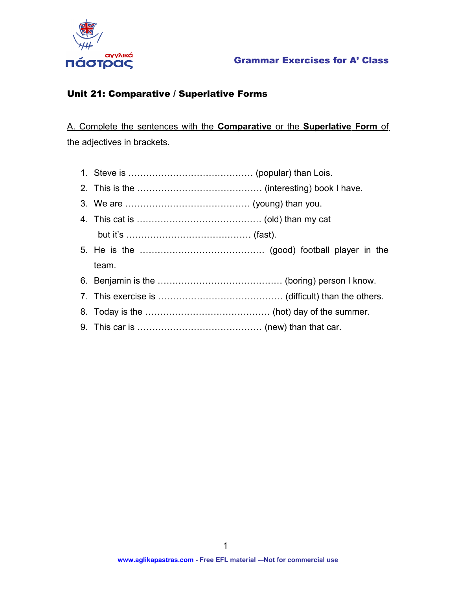

#### Grammar Exercises for A' Class

### Unit 21: Comparative / Superlative Forms

 A. Complete the sentences with the **Comparative** or the **Superlative Form** of the adjectives in brackets.

- 1. Steve is …………………………………… (popular) than Lois.
- 2. This is the …………………………………… (interesting) book I have.
- 3. We are …………………………………… (young) than you.
- 4. This cat is …………………………………… (old) than my cat but it's …………………………………… (fast).
- 5. He is the …………………………………… (good) football player in the team.
- 6. Benjamin is the …………………………………… (boring) person I know.
- 7. This exercise is …………………………………… (difficult) than the others.
- 8. Today is the …………………………………… (hot) day of the summer.
- 9. This car is …………………………………… (new) than that car.